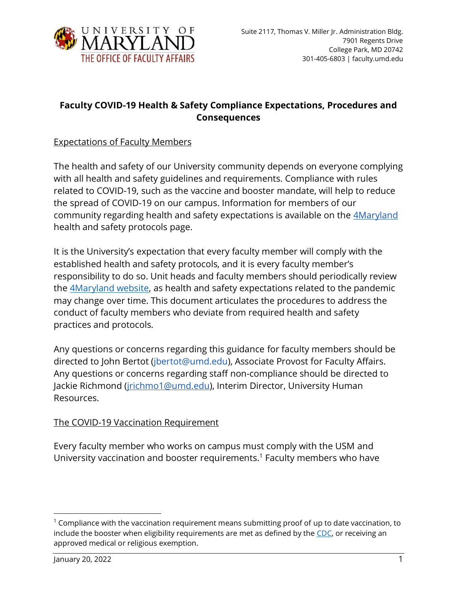

# **Faculty COVID-19 Health & Safety Compliance Expectations, Procedures and Consequences**

### Expectations of Faculty Members

The health and safety of our University community depends on everyone complying with all health and safety guidelines and requirements. Compliance with rules related to COVID-19, such as the vaccine and booster mandate, will help to reduce the spread of COVID-19 on our campus. Information for members of our community regarding health and safety expectations is available on the [4Maryland](https://umd.edu/4Maryland/health-plan) health and safety protocols page.

It is the University's expectation that every faculty member will comply with the established health and safety protocols, and it is every faculty member's responsibility to do so. Unit heads and faculty members should periodically review the [4Maryland website,](https://umd.edu/4Maryland) as health and safety expectations related to the pandemic may change over time. This document articulates the procedures to address the conduct of faculty members who deviate from required health and safety practices and protocols.

Any questions or concerns regarding this guidance for faculty members should be directed to John Bertot (*jbertot@umd.edu*), Associate Provost for Faculty Affairs. Any questions or concerns regarding staff non-compliance should be directed to Jackie Richmond [\(jrichmo1@umd.edu\)](mailto:jrichmo1@umd.edu), Interim Director, University Human Resources.

#### The COVID-19 Vaccination Requirement

Every faculty member who works on campus must comply with the USM and University vaccination and booster requirements. <sup>1</sup> Faculty members who have

 $1$  Compliance with the vaccination requirement means submitting proof of up to date vaccination, to include the booster when eligibility requirements are met as defined by the [CDC,](https://www.cdc.gov/coronavirus/2019-ncov/vaccines/booster-shot.html?s_cid=11706:cdc%20covid%20booster:sem.ga:p:RG:GM:gen:PTN:FY22) or receiving an approved medical or religious exemption.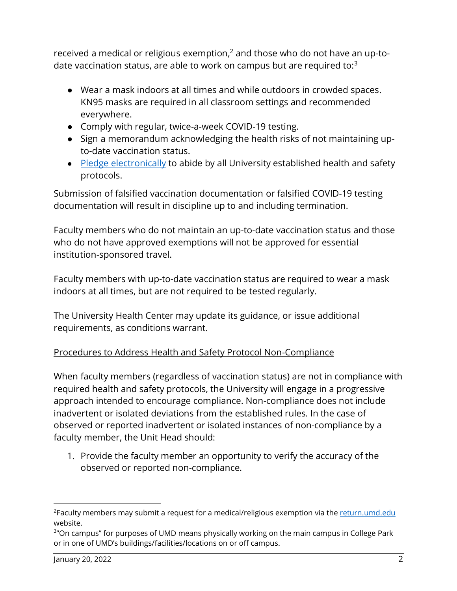received a medical or religious exemption, $^2$  and those who do not have an up-todate vaccination status, are able to work on campus but are required to: $3$ 

- Wear a mask indoors at all times and while outdoors in crowded spaces. KN95 masks are required in all classroom settings and recommended everywhere.
- Comply with regular, twice-a-week COVID-19 testing.
- Sign a memorandum acknowledging the health risks of not maintaining upto-date vaccination status.
- [Pledge electronically](https://return.umd.edu/covid/healthguideline) to abide by all University established health and safety protocols.

Submission of falsified vaccination documentation or falsified COVID-19 testing documentation will result in discipline up to and including termination.

Faculty members who do not maintain an up-to-date vaccination status and those who do not have approved exemptions will not be approved for essential institution-sponsored travel.

Faculty members with up-to-date vaccination status are required to wear a mask indoors at all times, but are not required to be tested regularly.

The University Health Center may update its guidance, or issue additional requirements, as conditions warrant.

# Procedures to Address Health and Safety Protocol Non-Compliance

When faculty members (regardless of vaccination status) are not in compliance with required health and safety protocols, the University will engage in a progressive approach intended to encourage compliance. Non-compliance does not include inadvertent or isolated deviations from the established rules. In the case of observed or reported inadvertent or isolated instances of non-compliance by a faculty member, the Unit Head should:

1. Provide the faculty member an opportunity to verify the accuracy of the observed or reported non-compliance.

 $^2$ Faculty members may submit a request for a medical/religious exemption via the  $\underline{\hspace{0.05cm} \text{return}.\text{umd.edu}}$ website.

<sup>&</sup>lt;sup>3</sup>"On campus" for purposes of UMD means physically working on the main campus in College Park or in one of UMD's buildings/facilities/locations on or off campus.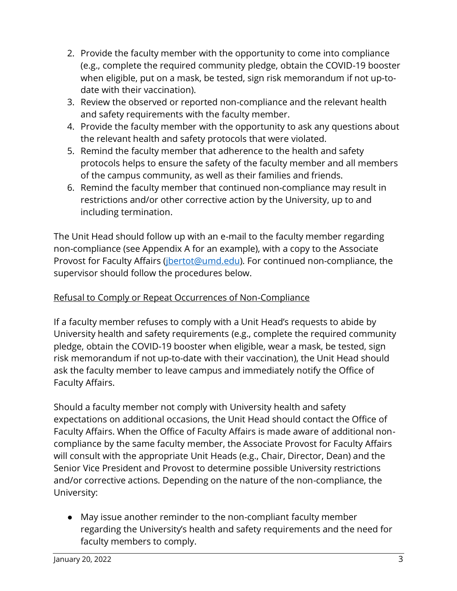- 2. Provide the faculty member with the opportunity to come into compliance (e.g., complete the required community pledge, obtain the COVID-19 booster when eligible, put on a mask, be tested, sign risk memorandum if not up-todate with their vaccination).
- 3. Review the observed or reported non-compliance and the relevant health and safety requirements with the faculty member.
- 4. Provide the faculty member with the opportunity to ask any questions about the relevant health and safety protocols that were violated.
- 5. Remind the faculty member that adherence to the health and safety protocols helps to ensure the safety of the faculty member and all members of the campus community, as well as their families and friends.
- 6. Remind the faculty member that continued non-compliance may result in restrictions and/or other corrective action by the University, up to and including termination.

The Unit Head should follow up with an e-mail to the faculty member regarding non-compliance (see Appendix A for an example), with a copy to the Associate Provost for Faculty Affairs (*jbertot@umd.edu*). For continued non-compliance, the supervisor should follow the procedures below.

### Refusal to Comply or Repeat Occurrences of Non-Compliance

If a faculty member refuses to comply with a Unit Head's requests to abide by University health and safety requirements (e.g., complete the required community pledge, obtain the COVID-19 booster when eligible, wear a mask, be tested, sign risk memorandum if not up-to-date with their vaccination), the Unit Head should ask the faculty member to leave campus and immediately notify the Office of Faculty Affairs.

Should a faculty member not comply with University health and safety expectations on additional occasions, the Unit Head should contact the Office of Faculty Affairs. When the Office of Faculty Affairs is made aware of additional noncompliance by the same faculty member, the Associate Provost for Faculty Affairs will consult with the appropriate Unit Heads (e.g., Chair, Director, Dean) and the Senior Vice President and Provost to determine possible University restrictions and/or corrective actions. Depending on the nature of the non-compliance, the University:

● May issue another reminder to the non-compliant faculty member regarding the University's health and safety requirements and the need for faculty members to comply.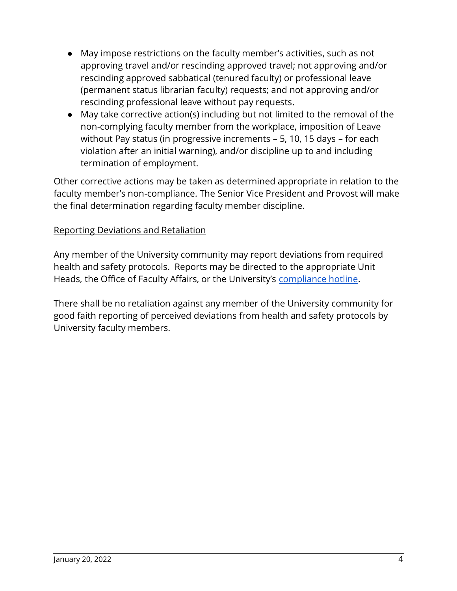- May impose restrictions on the faculty member's activities, such as not approving travel and/or rescinding approved travel; not approving and/or rescinding approved sabbatical (tenured faculty) or professional leave (permanent status librarian faculty) requests; and not approving and/or rescinding professional leave without pay requests.
- May take corrective action(s) including but not limited to the removal of the non-complying faculty member from the workplace, imposition of Leave without Pay status (in progressive increments – 5, 10, 15 days – for each violation after an initial warning), and/or discipline up to and including termination of employment.

Other corrective actions may be taken as determined appropriate in relation to the faculty member's non-compliance. The Senior Vice President and Provost will make the final determination regarding faculty member discipline.

#### Reporting Deviations and Retaliation

Any member of the University community may report deviations from required health and safety protocols. Reports may be directed to the appropriate Unit Heads, the Office of Faculty Affairs, or the University's [compliance hotline.](https://vpaf.umd.edu/ethics-integrity-and-compliance-reporting)

There shall be no retaliation against any member of the University community for good faith reporting of perceived deviations from health and safety protocols by University faculty members.